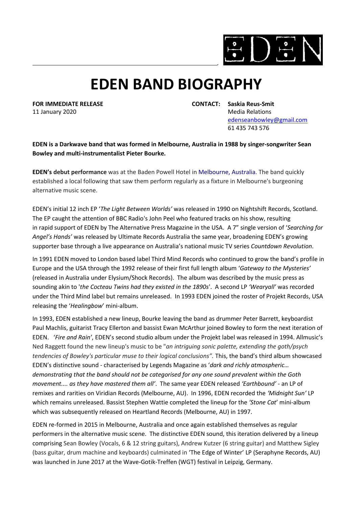

## **EDEN BAND BIOGRAPHY**

**FOR IMMEDIATE RELEASE CONTACT: Saskia Reus-Smit** 11 January 2020 Media Relations [edenseanbowley@gmail.com](mailto:edenseanbowley@gmail.com) 61 435 743 576

**EDEN is [a Darkwave](https://en.wikipedia.org/wiki/Dark_Wave) band that was formed in [Melbourne,](https://en.wikipedia.org/wiki/Melbourne) [Australia](https://en.wikipedia.org/wiki/Australia) in 1988 by singer-songwriter Sean Bowley and multi-instrumentalist [Pieter Bourke.](https://en.wikipedia.org/wiki/Pieter_Bourke)**

**EDEN's debut performance** was at the Baden Powell Hotel in Melbourne, Australia. The band quickly established a local following that saw them perform regularly as a fixture in Melbourne's burgeoning alternative music scene.

EDEN's initial 12 inch EP '*The Light Between Worlds'* was released in 1990 on Nightshift Records, Scotland. The EP caught the attention of BBC Radio's John Peel who featured tracks on his show, resulting in rapid support of EDEN by The Alternative Press Magazine in the USA. A 7" single version of '*Searching for Angel's Hands'* was released by Ultimate Records Australia the same year, broadening EDEN's growing supporter base through a live appearance on Australia's national music TV series *Countdown Revolution*.

In 1991 EDEN moved to London based label Third Mind Records who continued to grow the band's profile in Europe and the USA through the 1992 release of their first full length album '*Gateway to the Mysteries'*  (released in Australia under Elysium/Shock Records). The album was described by the music press as sounding akin to '*the Cocteau Twins had they existed in the 1890s*'. A second LP *'Wearyall'* was recorded under the Third Mind label but remains unreleased. In 1993 EDEN joined the roster of Projekt Records, USA releasing the '*Healingbow*' mini-album.

In 1993, EDEN established a new lineup, Bourke leaving the band as drummer Peter Barrett, keyboardist Paul Machlis, guitarist Tracy Ellerton and bassist Ewan McArthur joined Bowley to form the next iteration of EDEN. '*Fire and Rain'*, EDEN's second studio album under the Projekt label was released in 1994[. Allmusic's](https://en.wikipedia.org/wiki/Allmusic) Ned Raggett found the new lineup's music to be "*an intriguing sonic palette, extending the goth/psych tendencies of Bowley's particular muse to their logical conclusions".* This, the band's third album showcased EDEN's distinctive sound - characterised by Legends Magazine as '*dark and richly atmospheric… demonstrating that the band should not be categorised for any one sound prevalent within the Goth movement.... as they have mastered them all'*. The same year EDEN released *'Earthbound'* - an LP of remixes and rarities on Viridian Records (Melbourne, AU). In 1996, EDEN recorded the *'Midnight Sun'* LP which remains unreleased. Bassist Stephen Wattie completed the lineup for the *'Stone Cat*' mini-album which was subsequently released on Heartland Records (Melbourne, AU) in 1997.

EDEN re-formed in 2015 in Melbourne, Australia and once again established themselves as regular performers in the alternative music scene. The distinctive EDEN sound, this iteration delivered by a lineup comprising Sean Bowley (Vocals, 6 & 12 string guitars), Andrew Kutzer (6 string guitar) and Matthew Sigley (bass guitar, drum machine and keyboards) culminated in 'The Edge of Winter' LP (Seraphyne Records, AU) was launched in June 2017 at the Wave-Gotik-Treffen (WGT) festival in Leipzig, Germany.